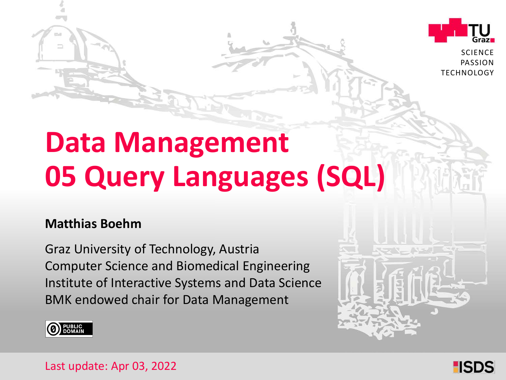

**SCIENCE** PASSION **TECHNOLOGY** 

# **Data Management 05 Query Languages (SQL)**

#### **Matthias Boehm**

Graz University of Technology, Austria Institute of Interactive Systems and Data Science Computer Science and Biomedical Engineering BMK endowed chair for Data Management





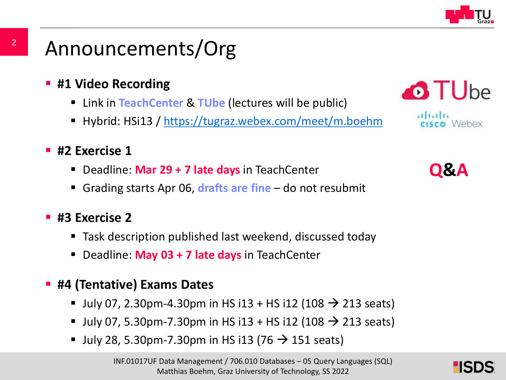

### Announcements/Org

- **#1 Video Recording** 
	- Link in **TeachCenter** & **TUbe** (lectures will be public)
	- Hybrid: HSi13 / <https://tugraz.webex.com/meet/m.boehm>

#### **#2 Exercise 1**

- Deadline: **Mar 29 + 7 late days** in TeachCenter
- Grading starts Apr 06, **drafts are fine** do not resubmit

#### **#3 Exercise 2**

- Task description published last weekend, discussed today
- Deadline: **May 03 + 7 late days** in TeachCenter
- **#4 (Tentative) Exams Dates**
	- July 07, 2.30pm-4.30pm in HS i13 + HS i12 (108  $\rightarrow$  213 seats)
	- July 07, 5.30pm-7.30pm in HS i13 + HS i12 (108  $\rightarrow$  213 seats)
	- July 28, 5.30pm-7.30pm in HS i13 (76  $\rightarrow$  151 seats)



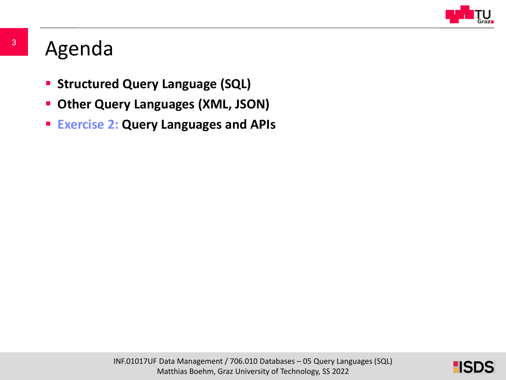

### Agenda

- **Structured Query Language (SQL)**
- **Other Query Languages (XML, JSON)**
- **Exercise 2: Query Languages and APIs**

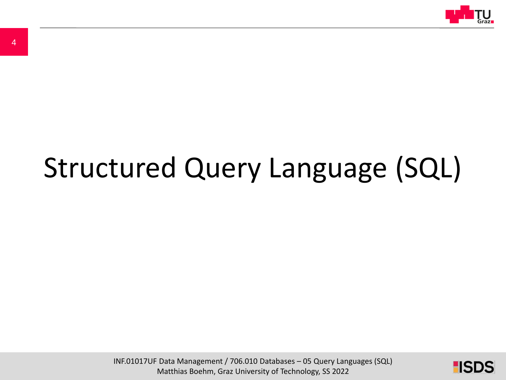

# Structured Query Language (SQL)

INF.01017UF Data Management / 706.010 Databases – 05 Query Languages (SQL) Matthias Boehm, Graz University of Technology, SS 2022

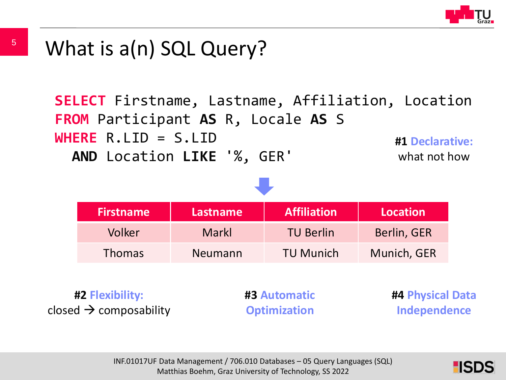

**SELECT** Firstname, Lastname, Affiliation, Location **FROM** Participant **AS** R, Locale **AS** S **WHERE** R.LID = S.LID **AND** Location **LIKE** '%, GER' **#1 Declarative:**  what not how



**#2 Flexibility:** closed  $\rightarrow$  composability **#3 Automatic Optimization**

**#4 Physical Data Independence**

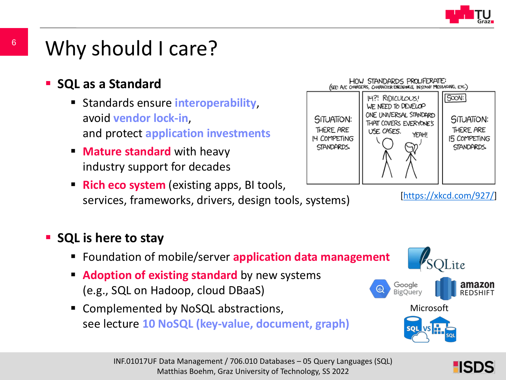

### Why should I care?

**SQL as a Standard**

6

- Standards ensure **interoperability**, avoid **vendor lock-in**, and protect **application investments**
- **Mature standard** with heavy industry support for decades
- **Rich eco system** (existing apps, BI tools, services, frameworks, drivers, design tools, systems)

#### **SQL is here to stay**

- Foundation of mobile/server **application data management**
- **Adoption of existing standard** by new systems (e.g., SQL on Hadoop, cloud DBaaS)
- Complemented by NoSQL abstractions, see lecture **10 NoSQL (key-value, document, graph)**



HOW STANDARDS PROLIFERATE: (SEE: A/C CHARGERS, CHARACTER ENCODINGS, INSTANT MESSAGING, ETC.)

[[https://xkcd.com/927/\]](https://xkcd.com/927/)

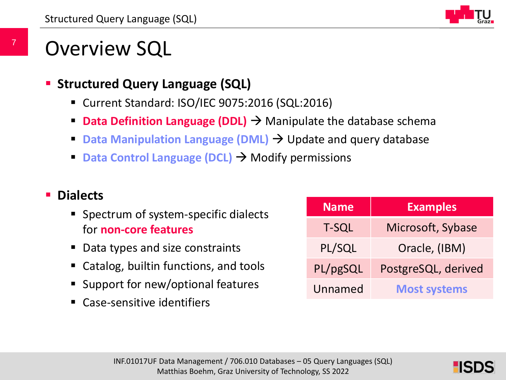

### Overview SQL

- **Structured Query Language (SQL)**
	- Current Standard: ISO/IEC 9075:2016 (SQL:2016)
	- **Data Definition Language (DDL)**  $\rightarrow$  Manipulate the database schema
	- **Data Manipulation Language (DML)**  $\rightarrow$  **Update and query database**
	- **Data Control Language (DCL) → Modify permissions**

#### **Dialects**

- Spectrum of system-specific dialects for **non-core features**
- Data types and size constraints
- Catalog, builtin functions, and tools
- Support for new/optional features
- Case-sensitive identifiers

| <b>Name</b>  | <b>Examples</b>     |  |
|--------------|---------------------|--|
| <b>T-SQL</b> | Microsoft, Sybase   |  |
| PL/SQL       | Oracle, (IBM)       |  |
| PL/pgSQL     | PostgreSQL, derived |  |
| Unnamed      | <b>Most systems</b> |  |

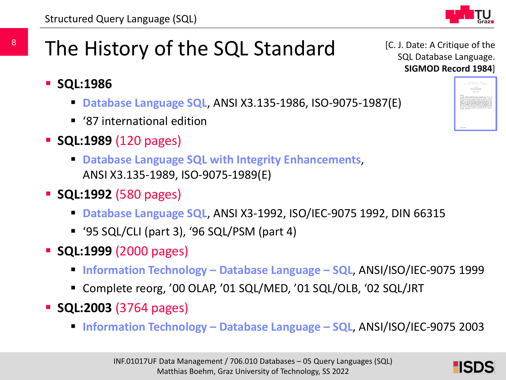[C. J. Date: A Critique of the SQL Database Language. **SIGMOD Record 1984**]

## The History of the SQL Standard

- **SQL:1986** 
	- **Database Language SQL**, ANSI X3.135-1986, ISO-9075-1987(E)
	- '87 international edition
- **SQL:1989** (120 pages)
	- **Database Language SQL with Integrity Enhancements**, ANSI X3.135-1989, ISO-9075-1989(E)
- **SQL:1992** (580 pages)
	- **Database Language SQL**, ANSI X3-1992, ISO/IEC-9075 1992, DIN 66315
	- '95 SQL/CLI (part 3), '96 SQL/PSM (part 4)
- **SQL:1999** (2000 pages)
	- **Information Technology – Database Language – SQL**, ANSI/ISO/IEC-9075 1999
	- Complete reorg, '00 OLAP, '01 SQL/MED, '01 SQL/OLB, '02 SQL/JRT
- **SQL:2003** (3764 pages)
	- **Information Technology – Database Language – SQL**, ANSI/ISO/IEC-9075 2003



8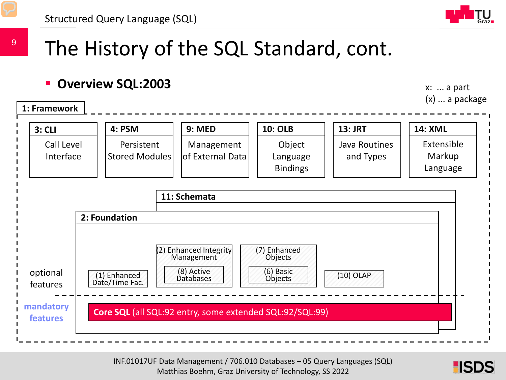

### The History of the SQL Standard, cont.

#### **Overview SQL:2003**

x: ... a part (x) ... a package



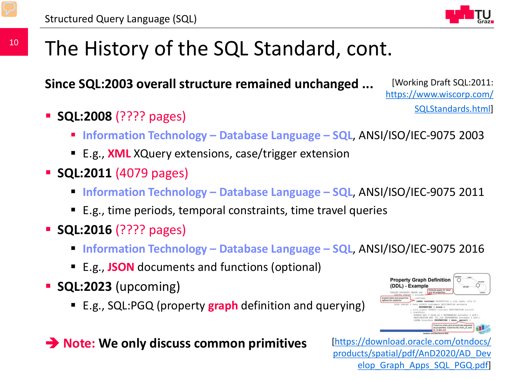

### The History of the SQL Standard, cont.

**Since SQL:2003 overall structure remained unchanged ...**

[Working Draft SQL:2011: [https://www.wiscorp.com/](https://www.wiscorp.com/SQLStandards.html) SQLStandards.html]

- **SQL:2008** (???? pages)
	- **Information Technology – Database Language – SQL**, ANSI/ISO/IEC-9075 2003
	- E.g., **XML** XQuery extensions, case/trigger extension
- **SQL:2011 (4079 pages)** 
	- **Information Technology – Database Language – SQL**, ANSI/ISO/IEC-9075 2011
	- E.g., time periods, temporal constraints, time travel queries
- **SQL:2016** (???? pages)
	- **Information Technology – Database Language – SQL**, ANSI/ISO/IEC-9075 2016
	- E.g., **JSON** documents and functions (optional)
- **SQL:2023** (upcoming)
	- E.g., SQL:PGQ (property **graph** definition and querying)





 $\frac{1}{\sqrt{2}}$ uf Databases – 0.1010  $\frac{1}{\sqrt{2}}$ [https://download.oracle.com/otndocs/ [products/spatial/pdf/AnD2020/AD\\_Dev](https://download.oracle.com/otndocs/products/spatial/pdf/AnD2020/AD_Develop_Graph_Apps_SQL_PGQ.pdf) elop\_Graph\_Apps\_SQL\_PGQ.pdf]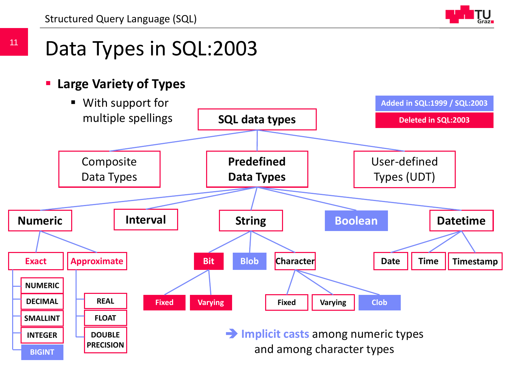Structured Query Language (SQL)



#### **Large Variety of Types**

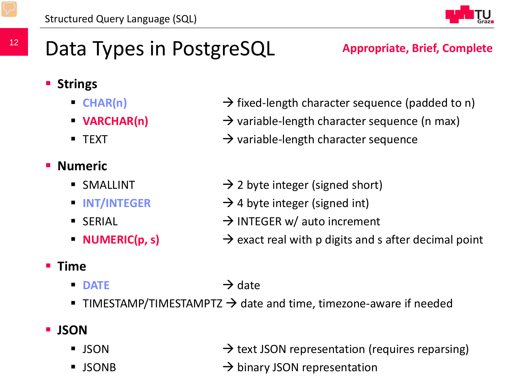

**Appropriate, Brief, Complete**

## Data Types in PostgreSQL

#### **E** Strings

- 
- 
- 

### **Numeric**

- 
- 
- 
- 

#### **Time**

#### $\blacksquare$  DATE  $\rightarrow$  date

TIMESTAMP/TIMESTAMPTZ  $\rightarrow$  date and time, timezone-aware if needed

#### **JSON**

- $\rightarrow$  ISON  $\rightarrow$  text JSON representation (requires reparsing)
- $\sum_{n=1}^{\infty}$ UF Databases 05 Query Languages 05  $\sum_{n=1}^{\infty}$  $\text{MSONB}$  **binary JSON representation**
- **CHAR(n)**  $\rightarrow$  fixed-length character sequence (padded to n)
- **VARCHAR(n)**  $\rightarrow$  variable-length character sequence (n max)
- **TEXT** TEXT **EXT 1** TEXT
- SMALLINT  $\rightarrow$  2 byte integer (signed short)
- **INT/INTEGER**  $\rightarrow$  4 byte integer (signed int)
- SERIAL  $\rightarrow$  INTEGER w/ auto increment
- **NUMERIC(p, s)**  $\rightarrow$  exact real with p digits and s after decimal point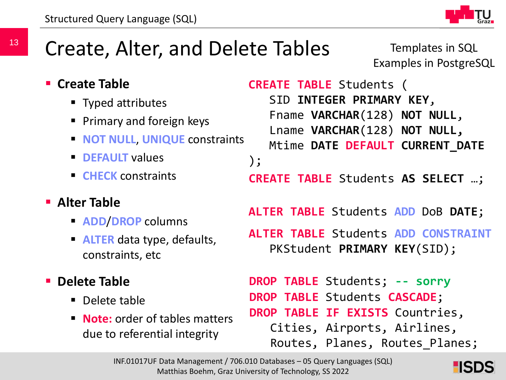

### Create, Alter, and Delete Tables

Templates in SQL Examples in PostgreSQL

- **E** Create Table
	- Typed attributes
	- **Primary and foreign keys**
	- **NOT NULL, UNIQUE constraints**
	- **P** DEFAULT values
	- **EXAMPLE CHECK** constraints
- **Alter Table**
	- **ADD**/**DROP** columns
	- **ALTER** data type, defaults, constraints, etc
- **P** Delete Table
	- Delete table
	- **Note:** order of tables matters due to referential integrity

```
CREATE TABLE Students (
   SID INTEGER PRIMARY KEY,
   Fname VARCHAR(128) NOT NULL,
   Lname VARCHAR(128) NOT NULL,
   Mtime DATE DEFAULT CURRENT_DATE
);
ALTER TABLE Students ADD DoB DATE;
ALTER TABLE Students ADD CONSTRAINT
   PKStudent PRIMARY KEY(SID);
CREATE TABLE Students AS SELECT …;
```
**DROP TABLE** Students; **-- sorry DROP TABLE** Students **CASCADE**; **DROP TABLE IF EXISTS** Countries, Cities, Airports, Airlines, Routes, Planes, Routes\_Planes;

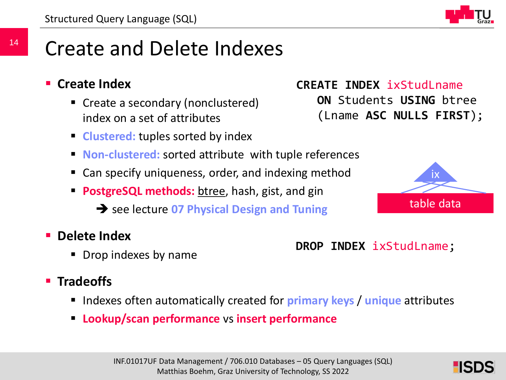### Create and Delete Indexes

- **Create Index**
	- Create a secondary (nonclustered) index on a set of attributes
	- **Clustered:** tuples sorted by index
	- **Non-clustered:** sorted attribute with tuple references
	- Can specify uniqueness, order, and indexing method
	- **PostgreSQL methods:** btree, hash, gist, and gin
		- $\rightarrow$  see lecture 07 Physical Design and Tuning
- **Delete Index**
	- Drop indexes by name

#### **F** Tradeoffs

- Indexes often automatically created for **primary keys** / **unique** attributes
- **Lookup/scan performance** vs **insert performance**



#### **DROP INDEX** ixStudLname;

**CREATE INDEX ixStudLname** 

**ON** Students **USING** btree

(Lname **ASC NULLS FIRST**);

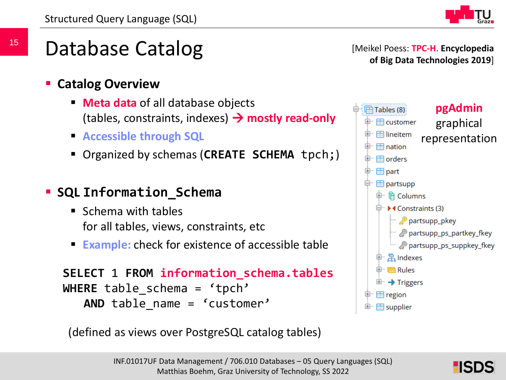

Database Catalog

- **Catalog Overview**
	- **Meta data** of all database objects (tables, constraints, indexes)  $\rightarrow$  mostly read-only
	- **Accessible through SQL**
	- Organized by schemas (**CREATE SCHEMA** tpch;)
- **SQL Information\_Schema**
	- Schema with tables for all tables, views, constraints, etc
	- **Example:** check for existence of accessible table

```
SELECT 1 FROM information_schema.tables
WHERE table schema = 'tpch'
   AND table name = 'customer'
```
(defined as views over PostgreSQL catalog tables)



[Meikel Poess: **TPC-H**. **Encyclopedia** 

**of Big Data Technologies 2019**]

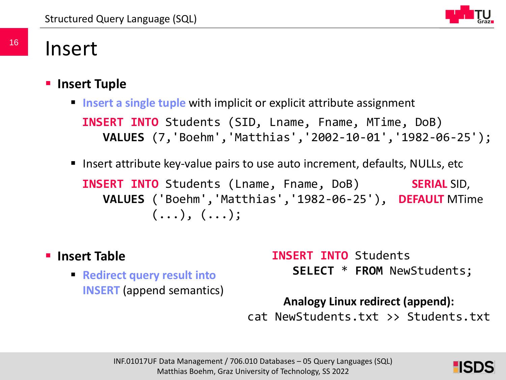

### Insert

#### **Insert Tuple**

- **Insert a single tuple** with implicit or explicit attribute assignment **INSERT INTO** Students (SID, Lname, Fname, MTime, DoB) **VALUES** (7,'Boehm','Matthias','2002-10-01','1982-06-25');
- Insert attribute key-value pairs to use auto increment, defaults, NULLs, etc

**INSERT INTO** Students (Lname, Fname, DoB) **VALUES** ('Boehm','Matthias','1982-06-25'), **DEFAULT** MTime $( \ldots ), ( \ldots )$ ; **SERIAL** SID,

- **Insert Table**
	- **Redirect query result into INSERT** (append semantics)

**INSERT INTO** Students **SELECT** \* **FROM** NewStudents;

#### **Analogy Linux redirect (append):**

cat NewStudents.txt >> Students.txt

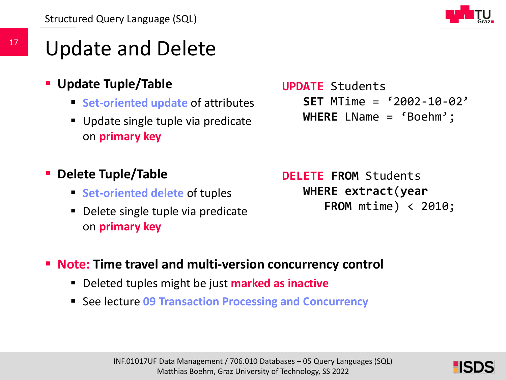

### Update and Delete

- **Update Tuple/Table**
	- **Set-oriented update of attributes**
	- Update single tuple via predicate on **primary key**

**UPDATE** Students **SET** MTime = '2002-10-02' **WHERE** LName = 'Boehm';

#### **Delete Tuple/Table**

- **Set-oriented delete of tuples**
- Delete single tuple via predicate on **primary key**

**DELETE FROM** Students **WHERE extract**(**year FROM** mtime) < 2010;

- **Note: Time travel and multi-version concurrency control**
	- Deleted tuples might be just **marked as inactive**
	- See lecture 09 Transaction Processing and Concurrency

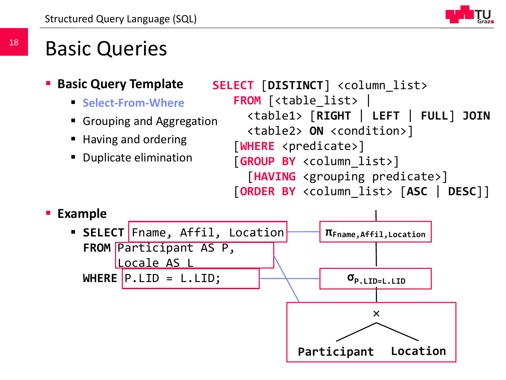### Basic Queries

- **Basic Query Template**
	- **F** Select-From-Where
	- Grouping and Aggregation
	- Having and ordering
	- **Duplicate elimination**

```
SELECT [DISTINCT] <column_list> 
   FROM [<table_list> | 
     <table1> [RIGHT | LEFT | FULL] JOIN
     <table2> ON <condition>]
   [WHERE <predicate>]
   [GROUP BY <column_list>]
     [HAVING <grouping predicate>]
   [ORDER BY <column_list> [ASC | DESC]]
```
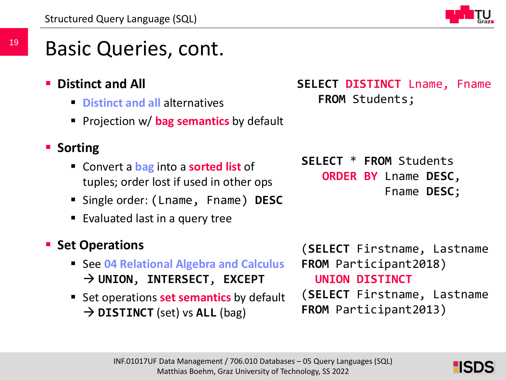### Basic Queries, cont.

- **Distinct and All**
	- **Distinct and all** alternatives
	- **Projection w/ bag semantics by default**

### **E** Sorting

- Convert a **bag** into a **sorted list** of tuples; order lost if used in other ops
- Single order: (Lname, Fname) **DESC**
- Evaluated last in a query tree

### **Set Operations**

- See **04 Relational Algebra and Calculus UNION**, **INTERSECT**, **EXCEPT**
- **Set operations set semantics by default** → **DISTINCT** (set) vs **ALL** (bag)

**SELECT DISTINCT** Lname, Fname **FROM** Students;

**SELECT** \* **FROM** Students **ORDER BY** Lname **DESC**, Fname **DESC**;

(**SELECT** Firstname, Lastname **FROM** Participant2018) **UNION DISTINCT** (**SELECT** Firstname, Lastname **FROM** Participant2013)

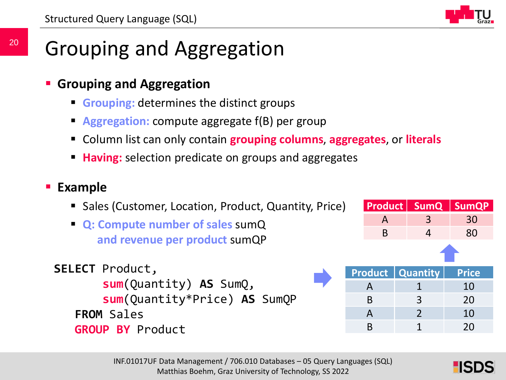

### Grouping and Aggregation

- **Grouping and Aggregation**
	- **Grouping:** determines the distinct groups
	- **Aggregation:** compute aggregate f(B) per group
	- Column list can only contain **grouping columns**, **aggregates**, or **literals**
	- **Having:** selection predicate on groups and aggregates

#### **Example**

- **Sales (Customer, Location, Product, Quantity, Price)**
- **Q: Compute number of sales** sumQ **and revenue per product** sumQP

```
SELECT Product, 
       sum(Quantity) AS SumQ, 
       sum(Quantity*Price) AS SumQP
   FROM Sales
   GROUP BY Product
```

| A |  | 3                    |                           | 30                     |
|---|--|----------------------|---------------------------|------------------------|
| B |  | 4                    |                           | 80                     |
|   |  |                      |                           |                        |
|   |  |                      |                           | <b>Price</b>           |
| A |  | $\mathbf 1$          |                           | 10                     |
| B |  | 3                    |                           | 20                     |
| A |  | $\overline{2}$<br>10 |                           |                        |
|   |  |                      |                           |                        |
|   |  |                      | <b>Product   Quantity</b> | Product   SumQ   SumQP |

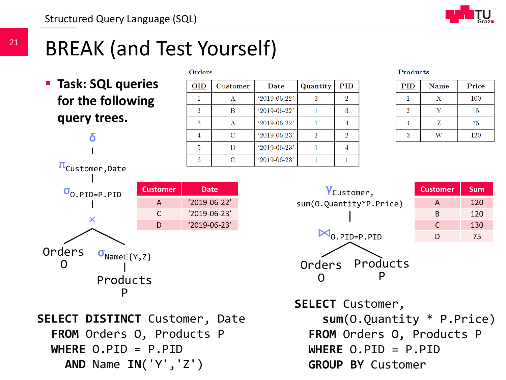

### BREAK (and Test Yourself)

 **Task: SQL queries for the following query trees.**

**δ**

| <b>Orders</b> |                 |                |          |            |
|---------------|-----------------|----------------|----------|------------|
| <b>OID</b>    | <b>Customer</b> | Date           | Quantity | <b>PID</b> |
|               |                 | $'2019-06-22'$ | 3        |            |
| 2             | в               | $'2019-06-22'$ |          | 3          |
| 3             | А               | $'2019-06-22'$ |          |            |
|               | C               | $'2019-06-23'$ | 2        | 9          |
| 5             | D               | $'2019-06-23'$ |          |            |
| հ             | C               | $'2019-06-23'$ |          |            |

#### **Products**

| <b>PID</b> | <b>Name</b> | Price |
|------------|-------------|-------|
|            | X           | 100   |
|            |             | 15    |
|            | Z           | 75    |
| २          |             | 120   |



AND Name  $IN('Y', 'Z')$  GROUP BY Cus  $\frac{1}{2}$  University of Technology, SS 2022 **SELECT DISTINCT** Customer, Date **FROM** Orders O, Products P **WHERE** O.PID = P.PID



| <b>Customer</b> | <b>Sum</b> |
|-----------------|------------|
| A               | 120        |
| B               | 120        |
| C               | 130        |
| נו              | 75         |

**SELECT** Customer, **sum**(O.Quantity \* P.Price) **FROM** Orders O, Products P **WHERE** O.PID = P.PID **GROUP BY** Customer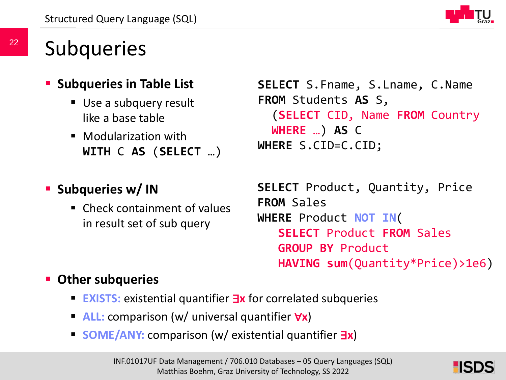

### **Subqueries**

- **Subqueries in Table List** 
	- Use a subquery result like a base table
	- **Modularization with WITH** C **AS** (**SELECT** …)

### **Subqueries w/IN**

**E.** Check containment of values in result set of sub query

```
SELECT S.Fname, S.Lname, C.Name
FROM Students AS S, 
  (SELECT CID, Name FROM Country 
  WHERE …) AS C 
WHERE S.CID=C.CID;
```
**SELECT** Product, Quantity, Price **FROM** Sales **WHERE** Product **NOT IN**( **SELECT** Product **FROM** Sales **GROUP BY** Product **HAVING sum**(Quantity\*Price)>1e6)

#### **Other subqueries**

- **EXISTS:** existential quantifier ∃**x** for correlated subqueries
- **ALL:** comparison (w/ universal quantifier ∀**x**)
- **SOME/ANY:** comparison (w/ existential quantifier ∃**x**)

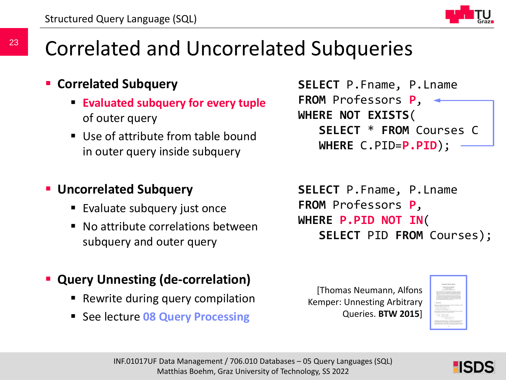

### Correlated and Uncorrelated Subqueries

#### **Correlated Subquery**

- **Evaluated subquery for every tuple** of outer query
- Use of attribute from table bound in outer query inside subquery

#### **Uncorrelated Subquery**

- **Evaluate subquery just once**
- No attribute correlations between subquery and outer query

```
SELECT P.Fname, P.Lname
FROM Professors P, 
WHERE NOT EXISTS(
   SELECT * FROM Courses C 
   WHERE C.PID=P.PID);
```

```
SELECT P.Fname, P.Lname
FROM Professors P, 
WHERE P.PID NOT IN(
   SELECT PID FROM Courses);
```
#### **Query Unnesting (de-correlation)**

- **-** Rewrite during query compilation
- **E** See lecture **08 Query Processing**

```
[Thomas Neumann, Alfons 
Kemper: Unnesting Arbitrary 
       Queries. BTW 2015]
```


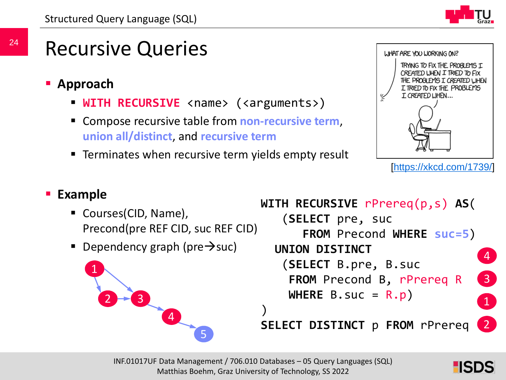

### Recursive Queries

- **Approach**
	- **WITH RECURSIVE** <name> (<arguments>)
	- Compose recursive table from **non-recursive term**, **union all/distinct**, and **recursive term**
	- **Terminates when recursive term yields empty result**



```
[https://xkcd.com/1739/]
```
#### **Example**

- Courses(CID, Name), Precond(pre REF CID, suc REF CID)
- **Dependency graph (pre** $\rightarrow$ **suc)**



```
WITH RECURSIVE rPrereq(p,s) AS(
   (SELECT pre, suc
      FROM Precond WHERE suc=5)
  UNION DISTINCT
   (SELECT B.pre, B.suc
    FROM Precond B, rPrereq R
    WHERE B.suc = R.p)
SELECT DISTINCT p FROM rPrereq
                                4
                                3
                                2
                                1
```
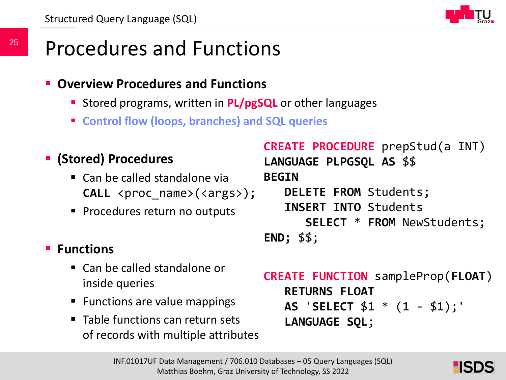

### Procedures and Functions

- **Overview Procedures and Functions**
	- **Stored programs, written in PL/pgSQL** or other languages
	- **Control flow (loops, branches) and SQL queries**

```
 (Stored) Procedures
```
- Can be called standalone via **CALL** <proc name>(<args>);
- **Procedures return no outputs**

### **Functions**

- Can be called standalone or inside queries
- Functions are value mappings
- Table functions can return sets of records with multiple attributes

```
CREATE PROCEDURE prepStud(a INT)
LANGUAGE PLPGSQL AS $$
BEGIN
   DELETE FROM Students;
   INSERT INTO Students 
      SELECT * FROM NewStudents;
END; $$;
```

```
CREATE FUNCTION sampleProp(FLOAT)
   RETURNS FLOAT
   AS 'SELECT $1 * (1 - $1);'
   LANGUAGE SQL;
```
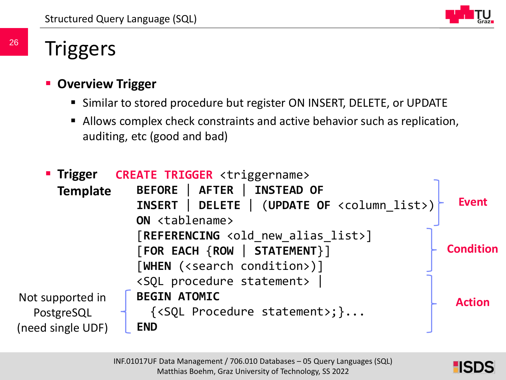

### **Triggers**

#### **Overview Trigger**

- Similar to stored procedure but register ON INSERT, DELETE, or UPDATE
- Allows complex check constraints and active behavior such as replication, auditing, etc (good and bad)

|                   | " Trigger CREATE TRIGGER <triggername></triggername>             |                  |
|-------------------|------------------------------------------------------------------|------------------|
| <b>Template</b>   | BEFORE   AFTER   INSTEAD OF                                      |                  |
|                   | DELETE   (UPDATE OF <column list="">)<br/><b>INSERT</b></column> | <b>Event</b>     |
|                   | ON <tablename></tablename>                                       |                  |
|                   | [REFERENCING <old alias="" list="" new="">]</old>                |                  |
|                   | [FOR EACH {ROW   STATEMENT}]                                     | <b>Condition</b> |
|                   | [WHEN ( <search condition="">)]</search>                         |                  |
|                   | <sql procedure="" statement=""></sql>                            |                  |
| Not supported in  | <b>BEGIN ATOMIC</b>                                              | <b>Action</b>    |
| PostgreSQL        | $\{\langle \text{SQL Procedure statement} \rangle\} \dots$       |                  |
| (need single UDF) | <b>END</b>                                                       |                  |

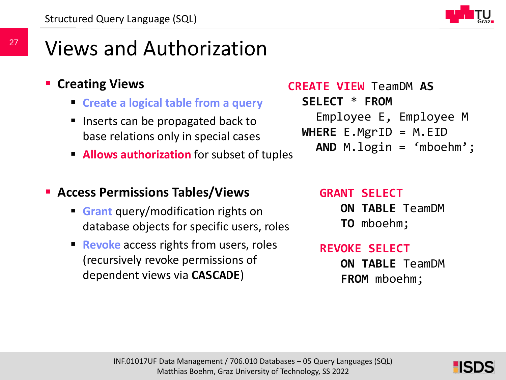

### Views and Authorization

#### **E** Creating Views

- **Create a logical table from a query**
- **Inserts can be propagated back to** base relations only in special cases
- **Allows authorization** for subset of tuples

#### **Access Permissions Tables/Views**

- **Grant** query/modification rights on database objects for specific users, roles
- **Revoke** access rights from users, roles (recursively revoke permissions of dependent views via **CASCADE**)

**CREATE VIEW** TeamDM **AS SELECT** \* **FROM** Employee E, Employee M **WHERE** E.MgrID = M.EID **AND** M.login = 'mboehm';

#### **GRANT SELECT**

**ON TABLE** TeamDM **TO** mboehm;

#### **REVOKE SELECT**

**ON TABLE** TeamDM **FROM** mboehm;

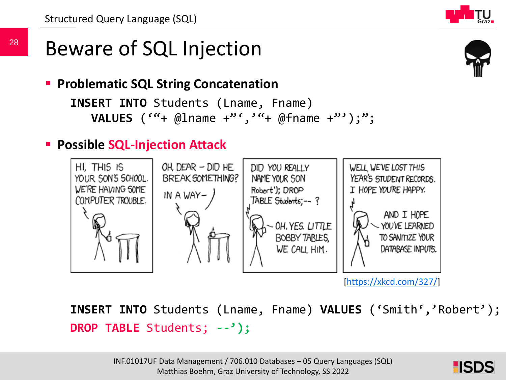### Beware of SQL Injection

**Problematic SQL String Concatenation** 

```
INSERT INTO Students (Lname, Fname)
  VALUES (""+ @lname +"',""+ @fname +"');";
```
### **Possible SQL-Injection Attack**



[\[https://xkcd.com/327/](https://xkcd.com/327/)]

**INSERT INTO** Students (Lname, Fname) **VALUES** ('Smith','Robert'); **DROP TABLE** Students; **--');**

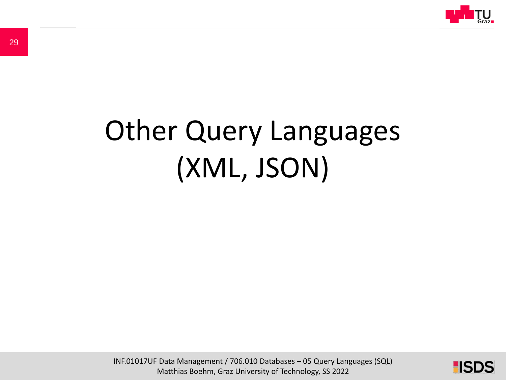

# Other Query Languages (XML, JSON)

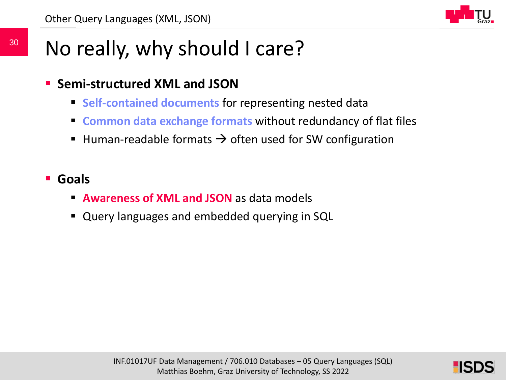

### No really, why should I care?

- **Semi-structured XML and JSON**
	- **Self-contained documents** for representing nested data
	- **Common data exchange formats** without redundancy of flat files
	- Human-readable formats  $\rightarrow$  often used for SW configuration
- **Goals**
	- **Awareness of XML and JSON** as data models
	- Query languages and embedded querying in SQL

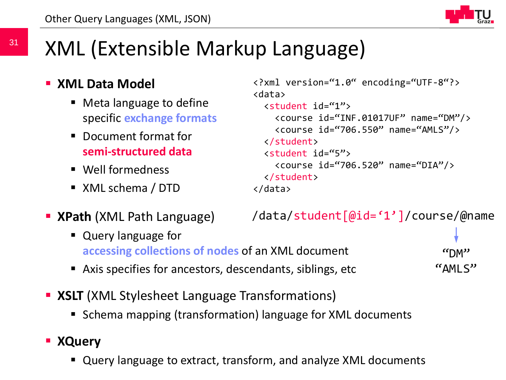

## XML (Extensible Markup Language)

#### **E** XML Data Model

- Meta language to define specific **exchange formats**
- Document format for **semi-structured data**
- Well formedness
- XML schema / DTD

```
<?xml version="1.0" encoding="UTF-8"?>
<data>
 <student id="1">
    <course id="INF.01017UF" name="DM"/>
    <course id="706.550" name="AMLS"/>
 </student>
 <student id="5">
    <course id="706.520" name="DIA"/>
 </student>
</data>
```
**XPath** (XML Path Language)

/data/student[@id='1']/course/@name

- Query language for **accessing collections of nodes** of an XML document
- Axis specifies for ancestors, descendants, siblings, etc

 $\mathsf{r}$ "AMLS"

- **XSLT** (XML Stylesheet Language Transformations)
	- Schema mapping (transformation) language for XML documents

#### **XQuery**

" Query language to extract, transform, and analyze XML documents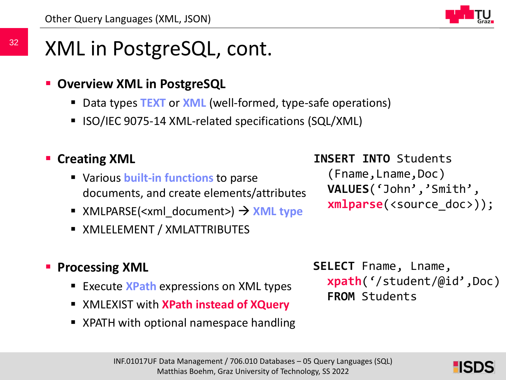

## XML in PostgreSQL, cont.

#### **Overview XML in PostgreSQL**

- Data types **TEXT** or **XML** (well-formed, type-safe operations)
- **ISO/IEC 9075-14 XML-related specifications (SQL/XML)**

### **E** Creating XML

- Various **built-in functions** to parse documents, and create elements/attributes
- XMLPARSE(<xml document>)  $\rightarrow$  **XML type**
- XMLELEMENT / XMLATTRIBUTES

#### **Processing XML**

- **Execute XPath expressions on XML types**
- XMLEXIST with **XPath instead of XQuery**
- XPATH with optional namespace handling

**INSERT INTO** Students

(Fname,Lname,Doc) **VALUES**('John','Smith', **xmlparse**(<source\_doc>));

**SELECT** Fname, Lname, **xpath**('/student/@id',Doc) **FROM** Students

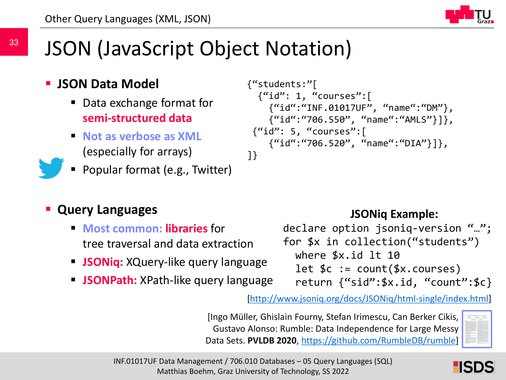### JSON (JavaScript Object Notation)

- **JSON Data Model**
	- Data exchange format for **semi-structured data**
	- **Not as verbose as XML** (especially for arrays)
	- Popular format (e.g., Twitter)

### **Query Languages**

- **Most common: libraries** for tree traversal and data extraction
- **JSONiq:** XQuery-like query language
- **JSONPath:** XPath-like query language

```
{"students:"[
  {``id": 1, "course" : }{"id":"INF.01017UF", "name":"DM"}, 
    {"id":"706.550", "name":"AMLS"}]},
 {"id": 5, "courses":[
    {"id":"706.520", "name":"DIA"}]},
]}
```
#### **JSONiq Example:**

declare option jsoniq-version "…"; for \$x in collection("students") where \$x.id lt 10 let  $\$c := count(\$x.courses)$ return {"sid":\$x.id, "count":\$c}

[<http://www.jsoniq.org/docs/JSONiq/html-single/index.html>]

[Ingo Müller, Ghislain Fourny, Stefan Irimescu, Can Berker Cikis, Gustavo Alonso: Rumble: Data Independence for Large Messy Data Sets. **PVLDB 2020**, <https://github.com/RumbleDB/rumble>]





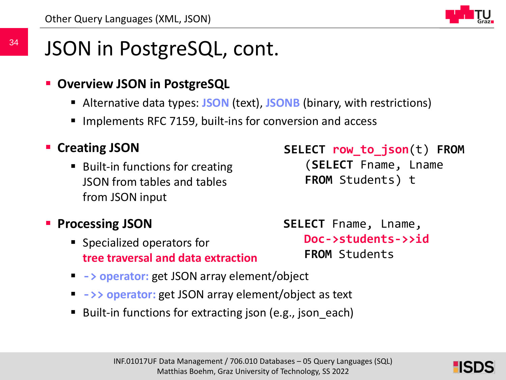

## JSON in PostgreSQL, cont.

#### **Overview JSON in PostgreSQL**

- Alternative data types: **JSON** (text), **JSONB** (binary, with restrictions)
- Implements RFC 7159, built-ins for conversion and access

#### **E** Creating JSON

■ Built-in functions for creating JSON from tables and tables from JSON input

### **Processing JSON**

- Specialized operators for **tree traversal and data extraction**
- **-> operator:** get JSON array element/object
- **->> operator:** get JSON array element/object as text
- Built-in functions for extracting json (e.g., json each)



**SELECT row\_to\_json**(t) **FROM** (**SELECT** Fname, Lname

**FROM** Students) t

**SELECT** Fname, Lname, **Doc->students->>id FROM** Students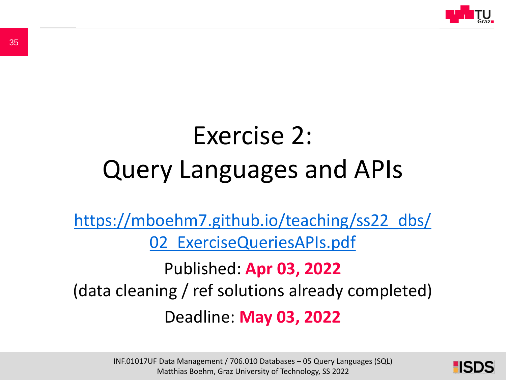

## Exercise 2: Query Languages and APIs

[https://mboehm7.github.io/teaching/ss22\\_dbs/](https://mboehm7.github.io/teaching/ss22_dbs/02_ExerciseQueriesAPIs.pdf) 02 ExerciseQueriesAPIs.pdf

Published: **Apr 03, 2022** (data cleaning / ref solutions already completed) Deadline: **May 03, 2022**

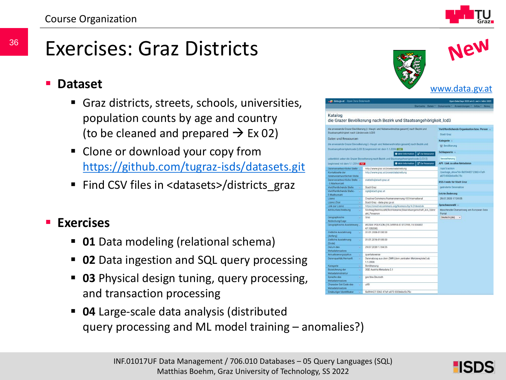### Exercises: Graz Districts

#### **Dataset**

- Graz districts, streets, schools, universities, population counts by age and country (to be cleaned and prepared  $\rightarrow$  Ex 02)
- **Clone or download your copy from** <https://github.com/tugraz-isds/datasets.git>
- Find CSV files in <datasets>/districts\_graz

#### **Exercises**

- **01** Data modeling (relational schema)
- **02** Data ingestion and SQL query processing
- **03** Physical design tuning, query processing, and transaction processing
- **04** Large-scale data analysis (distributed query processing and ML model training – anomalies?)



| data.gv.at - Open Data Osterroich                |                                                                                           | Open Data Days 2022 am 3, und 4, März 2022                 |
|--------------------------------------------------|-------------------------------------------------------------------------------------------|------------------------------------------------------------|
|                                                  |                                                                                           | Startseite Daten * Dokumente * Ariwendungen * Infos * News |
| Katalog                                          |                                                                                           |                                                            |
|                                                  | die Grazer Bevölkerung nach Bezirk und Staatsangehörigkeit_lcd3                           |                                                            |
|                                                  | die anwesende Grazer Bevölkerung (- Haupt- und Nebenwohnsitze gesamt) nach Bezirk und     | Veröffentlichende Organisation bzw. Person                 |
| Staatsangehörigkeit nach Ländercode LCD3         |                                                                                           | Stadt Graz                                                 |
| Daten und Ressourcen                             |                                                                                           | Kategorie -                                                |
|                                                  | die anwesende Grazer Bevoeikerung (- Haupt- und Nebenwohnsitze gesamt) nach Bezirk und    | the Bevölkerung                                            |
|                                                  | Staatsangehoerigkeitcode (LCD 3) beginnend mit dem 1.1.2006 NSVI                          |                                                            |
|                                                  | <b>O</b> Mehr Information<br><b>LE</b> Zur Resocurce                                      | Schlagworte -                                              |
|                                                  | ueberblick ueber die Grazer Boyoelkerung nach Bezirk und Staatsangehoerigkeitcode (LCD 3) | bevoelkerung                                               |
|                                                  | <b>O</b> Mchr Information<br><b>CF Zur Fiersscurce</b>                                    | <b>API - Link zu allen Metadaten</b>                       |
| beginnend mit dem 1.1.2014 From                  |                                                                                           |                                                            |
| Datenverantwortliche Stella                      | http://www.graz.at/praesicialabteilung                                                    | /api/3/action                                              |
| Kontaktseite der<br>datenverantwortlichen Stelle | http://www.graz.at/praesicialabteilung                                                    | /package_show?id=5b594427-2363-47a9-<br>a073-832b6bd5c75c  |
| Datenverantwortliche Stelle                      | statistik@stadt.graz.at                                                                   |                                                            |
| - E-Mailkontakt                                  |                                                                                           | <b>RSS-Feeds für Stadt Graz</b>                            |
| Veröffentlichende Stelle<br>ö.                   | Stach Graz                                                                                | geänderte Datensätze                                       |
| Voröffentlichende Stelle-<br>n.                  | ogd@stact.graz.at                                                                         |                                                            |
| E-Malikontakt                                    |                                                                                           | Letzte Anderung                                            |
| Lizonz<br>$\mathbf{u}$                           | Creative Commons Namensnennung 4.0 International                                          | 29.07.2020 17:04:05                                        |
| <b>Lizenz Zitat</b><br>iú.                       | Stact Graz - data graz gr.at                                                              | Sprachauswahl -                                            |
| Link zur Lizenz<br>u,                            | https://creativecommons.org/licenses/by/4.0/deed.de                                       |                                                            |
| Attributbeschreibung<br>w.                       | Stichtag Bezirkszahl; Bezirksname; Staatsbuergerschaft_icd_3;Anz                          | Maschinelle Übersetzung am European Data                   |
| ۰<br>Geographische                               | ahl Personen<br>Graz                                                                      | Fortal<br>Dautsch (de)<br>√⊌                               |
| Abdeckung/Lage                                   |                                                                                           |                                                            |
| Geographische Ausdehnung v                       | WGS84: POLYGON (15.349914.47.012595, 15.534402                                            |                                                            |
|                                                  | 47.135208)                                                                                |                                                            |
| Zeitliche Ausdehnung<br>G.                       | 01.01.2006.01:00:00                                                                       |                                                            |
| (Anfang)                                         |                                                                                           |                                                            |
| Zeitliche Ausdehnung<br>w                        | 01.01.2016 01:00:00                                                                       |                                                            |
| (Encode)                                         |                                                                                           |                                                            |
| Datum des<br>٠                                   | 29.07.2020 17:04:05                                                                       |                                                            |
| Metadatensatzes<br>Aktualisierungszyklus<br>u.   | quartalsweise                                                                             |                                                            |
| Datenqualität/Herkunft<br>u.                     | Datenabzug aus dem ZMR (dem zentralen Melderegister) ab                                   |                                                            |
|                                                  | 1.1.2006                                                                                  |                                                            |
| Kategorie<br>iü.                                 | Bevölkerung                                                                               |                                                            |
| Bozeichnung der<br>a                             | <b>DGD Austria Metadata 2.1</b>                                                           |                                                            |
| Metadatenstruktur                                |                                                                                           |                                                            |
| ٠<br>Sarache des                                 | ger/deu Deutsch                                                                           |                                                            |
| Metadatensatzes                                  |                                                                                           |                                                            |
| Character Set Code den<br>٠                      | utfR                                                                                      |                                                            |
| Metadatensatzes                                  |                                                                                           |                                                            |
| Eindeutiger Identifikator<br>٠                   | 5b594427-2363-47a9-a073-832b6bd5c75c                                                      |                                                            |

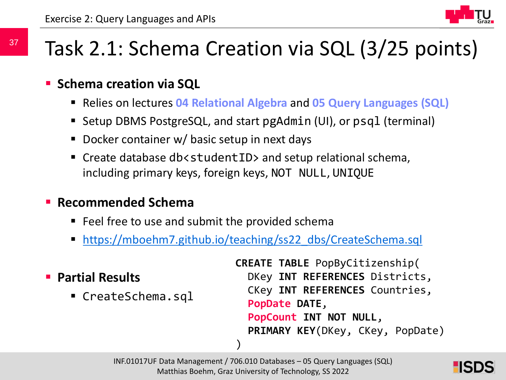### Task 2.1: Schema Creation via SQL (3/25 points)

#### **Schema creation via SQL**

- Relies on lectures **04 Relational Algebra** and **05 Query Languages (SQL)**
- Setup DBMS PostgreSQL, and start pgAdmin (UI), or psql (terminal)
- Docker container w/ basic setup in next days
- Create database db<studentID> and setup relational schema, including primary keys, foreign keys, NOT NULL, UNIQUE

#### **Recommended Schema**

- Feel free to use and submit the provided schema
- **[https://mboehm7.github.io/teaching/ss22\\_dbs/CreateSchema.sql](https://mboehm7.github.io/teaching/ss22_dbs/CreateSchema.sql)**

#### **Partial Results**

• CreateSchema.sql

```
CREATE TABLE PopByCitizenship(
  DKey INT REFERENCES Districts,
  CKey INT REFERENCES Countries,
  PopDate DATE,
  PopCount INT NOT NULL,
  PRIMARY KEY(DKey, CKey, PopDate)
)
```
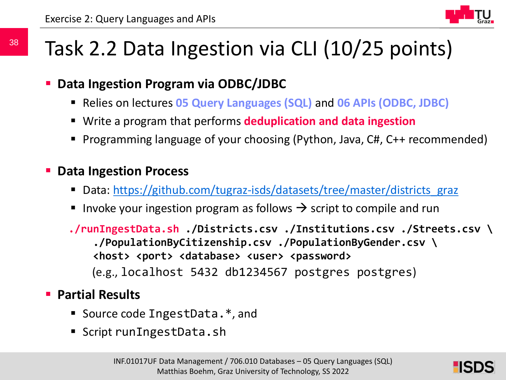### Task 2.2 Data Ingestion via CLI (10/25 points)

#### **Data Ingestion Program via ODBC/JDBC**

- Relies on lectures **05 Query Languages (SQL)** and **06 APIs (ODBC, JDBC)**
- Write a program that performs **deduplication and data ingestion**
- Programming language of your choosing (Python, Java, C#, C++ recommended)
- **P** Data Ingestion Process
	- Data: [https://github.com/tugraz-isds/datasets/tree/master/districts\\_graz](https://github.com/tugraz-isds/datasets/tree/master/districts_graz)
	- Invoke your ingestion program as follows  $\rightarrow$  script to compile and run

**./runIngestData.sh ./Districts.csv ./Institutions.csv ./Streets.csv \ ./PopulationByCitizenship.csv ./PopulationByGender.csv \ <host> <port> <database> <user> <password>** (e.g., localhost 5432 db1234567 postgres postgres)

#### **Partial Results**

- Source code IngestData.<sup>\*</sup>, and
- Script runIngestData.sh

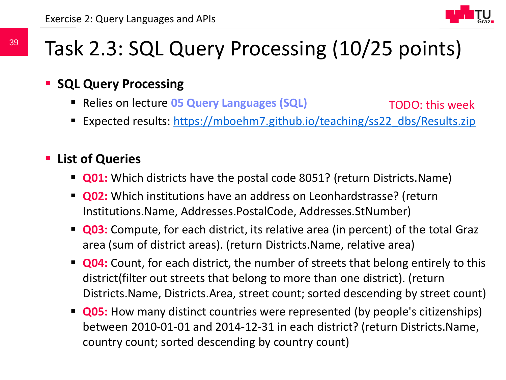### Task 2.3: SQL Query Processing (10/25 points)

#### **SQL Query Processing**

- Relies on lecture **05 Query Languages (SQL)** TODO: this week
- Expected results: [https://mboehm7.github.io/teaching/ss22\\_dbs/Results.zip](https://mboehm7.github.io/teaching/ss22_dbs/Results.zip)

#### **List of Queries**

- **Q01:** Which districts have the postal code 8051? (return Districts.Name)
- **Q02:** Which institutions have an address on Leonhardstrasse? (return Institutions.Name, Addresses.PostalCode, Addresses.StNumber)
- **Q03:** Compute, for each district, its relative area (in percent) of the total Graz area (sum of district areas). (return Districts.Name, relative area)
- **Q04:** Count, for each district, the number of streets that belong entirely to this district(filter out streets that belong to more than one district). (return Districts.Name, Districts.Area, street count; sorted descending by street count)
- **Q05:** How many distinct countries were represented (by people's citizenships) between 2010-01-01 and 2014-12-31 in each district? (return Districts.Name, country count; sorted descending by country count)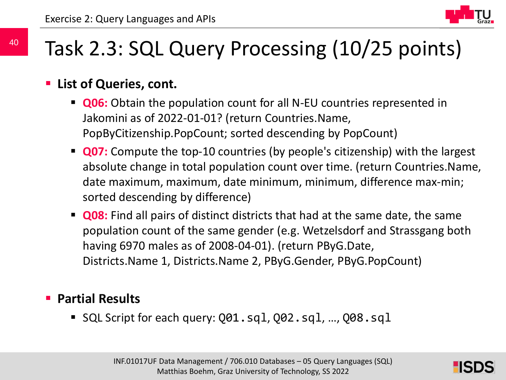

### Task 2.3: SQL Query Processing (10/25 points)

#### **List of Queries, cont.**

- **Q06:** Obtain the population count for all N-EU countries represented in Jakomini as of 2022-01-01? (return Countries.Name, PopByCitizenship.PopCount; sorted descending by PopCount)
- **Q07:** Compute the top-10 countries (by people's citizenship) with the largest absolute change in total population count over time. (return Countries.Name, date maximum, maximum, date minimum, minimum, difference max-min; sorted descending by difference)
- **Q08:** Find all pairs of distinct districts that had at the same date, the same population count of the same gender (e.g. Wetzelsdorf and Strassgang both having 6970 males as of 2008-04-01). (return PByG.Date, Districts.Name 1, Districts.Name 2, PByG.Gender, PByG.PopCount)

#### **Partial Results**

■ SQL Script for each query: Q01.sql, Q02.sql, ..., Q08.sql

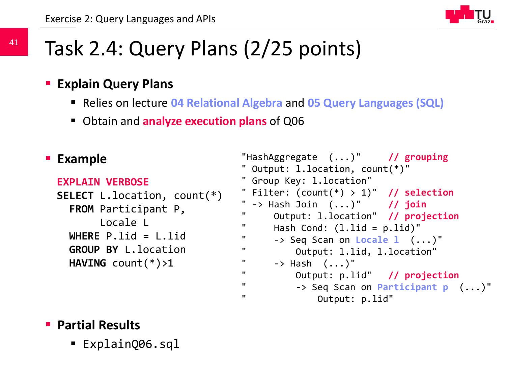## Task 2.4: Query Plans (2/25 points)

#### **Explain Query Plans**

- Relies on lecture **04 Relational Algebra** and **05 Query Languages (SQL)**
- Obtain and **analyze execution plans** of Q06

#### **Example**

```
EXPLAIN VERBOSE
```

```
SELECT L.location, count(*) 
  FROM Participant P, 
       Locale L 
  WHERE P.lid = L.lid
  GROUP BY L.location
  HAVING count(*)>1
```

```
"HashAggregate (...)" // grouping
" Output: l.location, count(*)"
" Group Key: l.location"
" Filter: (count(*) > 1)" // selection
 " -> Hash Join (...)" // join
" Output: l.location" // projection
" Hash Cond: (l.lid = p.lid)"
" -> Seq Scan on Locale l (...)"
" Output: l.lid, l.location"
" \rightarrow Hash (\dots)"
" Output: p.lid" // projection
" -> Seq Scan on Participant p (...)"
" Output: p.lid"
```
#### **Partial Results**

ExplainQ06.sql